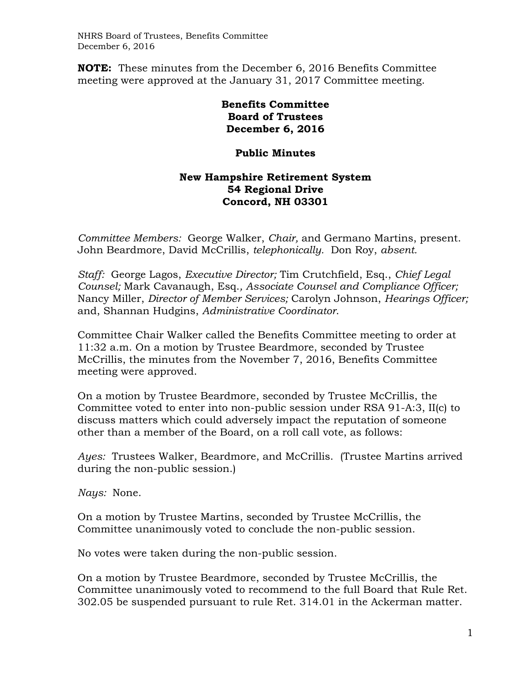**NOTE:** These minutes from the December 6, 2016 Benefits Committee meeting were approved at the January 31, 2017 Committee meeting.

> **Benefits Committee Board of Trustees December 6, 2016**

## **Public Minutes**

## **New Hampshire Retirement System 54 Regional Drive Concord, NH 03301**

*Committee Members:* George Walker, *Chair,* and Germano Martins, present. John Beardmore, David McCrillis, *telephonically.* Don Roy, *absent.* 

*Staff:* George Lagos, *Executive Director;* Tim Crutchfield, Esq., *Chief Legal Counsel;* Mark Cavanaugh, Esq.*, Associate Counsel and Compliance Officer;*  Nancy Miller, *Director of Member Services;* Carolyn Johnson, *Hearings Officer;*  and, Shannan Hudgins, *Administrative Coordinator*.

Committee Chair Walker called the Benefits Committee meeting to order at 11:32 a.m. On a motion by Trustee Beardmore, seconded by Trustee McCrillis, the minutes from the November 7, 2016, Benefits Committee meeting were approved.

On a motion by Trustee Beardmore, seconded by Trustee McCrillis, the Committee voted to enter into non-public session under RSA 91-A:3, II(c) to discuss matters which could adversely impact the reputation of someone other than a member of the Board, on a roll call vote, as follows:

*Ayes:* Trustees Walker, Beardmore, and McCrillis. (Trustee Martins arrived during the non-public session.)

*Nays:* None.

On a motion by Trustee Martins, seconded by Trustee McCrillis, the Committee unanimously voted to conclude the non-public session.

No votes were taken during the non-public session.

On a motion by Trustee Beardmore, seconded by Trustee McCrillis, the Committee unanimously voted to recommend to the full Board that Rule Ret. 302.05 be suspended pursuant to rule Ret. 314.01 in the Ackerman matter.